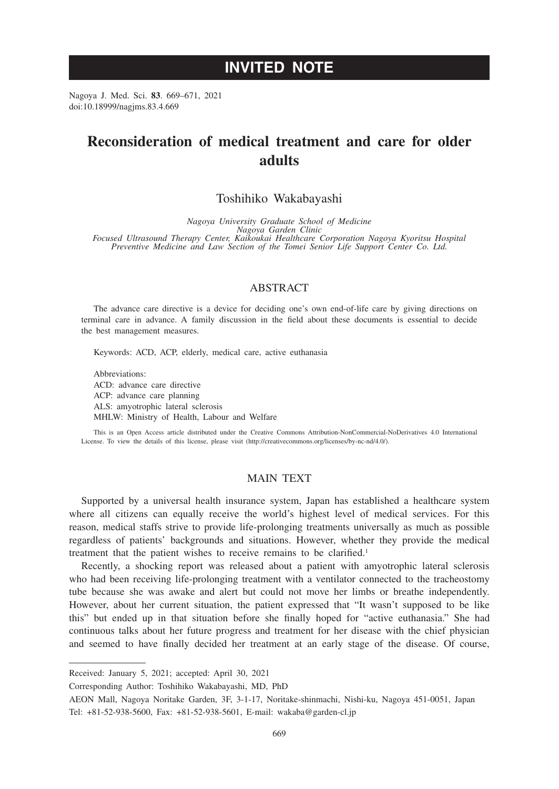# **INVITED NOTE**

Nagoya J. Med. Sci. **83**. 669–671, 2021 doi:10.18999/nagjms.83.4.669

# **Reconsideration of medical treatment and care for older adults**

## Toshihiko Wakabayashi

*Nagoya University Graduate School of Medicine Nagoya Garden Clinic Focused Ultrasound Therapy Center, Kaikoukai Healthcare Corporation Nagoya Kyoritsu Hospital Preventive Medicine and Law Section of the Tomei Senior Life Support Center Co. Ltd.*

### ABSTRACT

The advance care directive is a device for deciding one's own end-of-life care by giving directions on terminal care in advance. A family discussion in the field about these documents is essential to decide the best management measures.

Keywords: ACD, ACP, elderly, medical care, active euthanasia

Abbreviations: ACD: advance care directive ACP: advance care planning ALS: amyotrophic lateral sclerosis MHLW: Ministry of Health, Labour and Welfare

This is an Open Access article distributed under the Creative Commons Attribution-NonCommercial-NoDerivatives 4.0 International License. To view the details of this license, please visit (http://creativecommons.org/licenses/by-nc-nd/4.0/).

## MAIN TEXT

Supported by a universal health insurance system, Japan has established a healthcare system where all citizens can equally receive the world's highest level of medical services. For this reason, medical staffs strive to provide life-prolonging treatments universally as much as possible regardless of patients' backgrounds and situations. However, whether they provide the medical treatment that the patient wishes to receive remains to be clarified.<sup>1</sup>

Recently, a shocking report was released about a patient with amyotrophic lateral sclerosis who had been receiving life-prolonging treatment with a ventilator connected to the tracheostomy tube because she was awake and alert but could not move her limbs or breathe independently. However, about her current situation, the patient expressed that "It wasn't supposed to be like this" but ended up in that situation before she finally hoped for "active euthanasia." She had continuous talks about her future progress and treatment for her disease with the chief physician and seemed to have finally decided her treatment at an early stage of the disease. Of course,

Received: January 5, 2021; accepted: April 30, 2021

Corresponding Author: Toshihiko Wakabayashi, MD, PhD

AEON Mall, Nagoya Noritake Garden, 3F, 3-1-17, Noritake-shinmachi, Nishi-ku, Nagoya 451-0051, Japan Tel: +81-52-938-5600, Fax: +81-52-938-5601, E-mail: wakaba@garden-cl.jp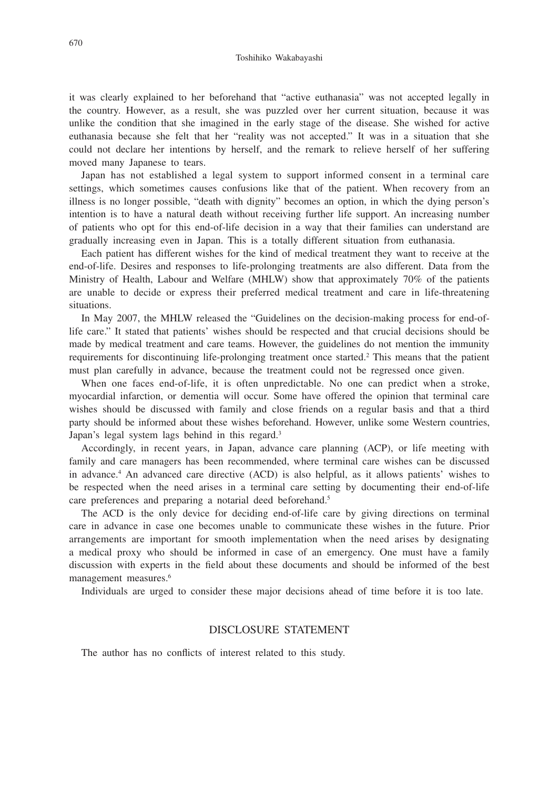it was clearly explained to her beforehand that "active euthanasia" was not accepted legally in the country. However, as a result, she was puzzled over her current situation, because it was unlike the condition that she imagined in the early stage of the disease. She wished for active euthanasia because she felt that her "reality was not accepted." It was in a situation that she could not declare her intentions by herself, and the remark to relieve herself of her suffering moved many Japanese to tears.

Japan has not established a legal system to support informed consent in a terminal care settings, which sometimes causes confusions like that of the patient. When recovery from an illness is no longer possible, "death with dignity" becomes an option, in which the dying person's intention is to have a natural death without receiving further life support. An increasing number of patients who opt for this end-of-life decision in a way that their families can understand are gradually increasing even in Japan. This is a totally different situation from euthanasia.

Each patient has different wishes for the kind of medical treatment they want to receive at the end-of-life. Desires and responses to life-prolonging treatments are also different. Data from the Ministry of Health, Labour and Welfare (MHLW) show that approximately 70% of the patients are unable to decide or express their preferred medical treatment and care in life-threatening situations.

In May 2007, the MHLW released the "Guidelines on the decision-making process for end-oflife care." It stated that patients' wishes should be respected and that crucial decisions should be made by medical treatment and care teams. However, the guidelines do not mention the immunity requirements for discontinuing life-prolonging treatment once started.<sup>2</sup> This means that the patient must plan carefully in advance, because the treatment could not be regressed once given.

When one faces end-of-life, it is often unpredictable. No one can predict when a stroke, myocardial infarction, or dementia will occur. Some have offered the opinion that terminal care wishes should be discussed with family and close friends on a regular basis and that a third party should be informed about these wishes beforehand. However, unlike some Western countries, Japan's legal system lags behind in this regard.<sup>3</sup>

Accordingly, in recent years, in Japan, advance care planning (ACP), or life meeting with family and care managers has been recommended, where terminal care wishes can be discussed in advance.4 An advanced care directive (ACD) is also helpful, as it allows patients' wishes to be respected when the need arises in a terminal care setting by documenting their end-of-life care preferences and preparing a notarial deed beforehand.<sup>5</sup>

The ACD is the only device for deciding end-of-life care by giving directions on terminal care in advance in case one becomes unable to communicate these wishes in the future. Prior arrangements are important for smooth implementation when the need arises by designating a medical proxy who should be informed in case of an emergency. One must have a family discussion with experts in the field about these documents and should be informed of the best management measures.<sup>6</sup>

Individuals are urged to consider these major decisions ahead of time before it is too late.

#### DISCLOSURE STATEMENT

The author has no conflicts of interest related to this study.